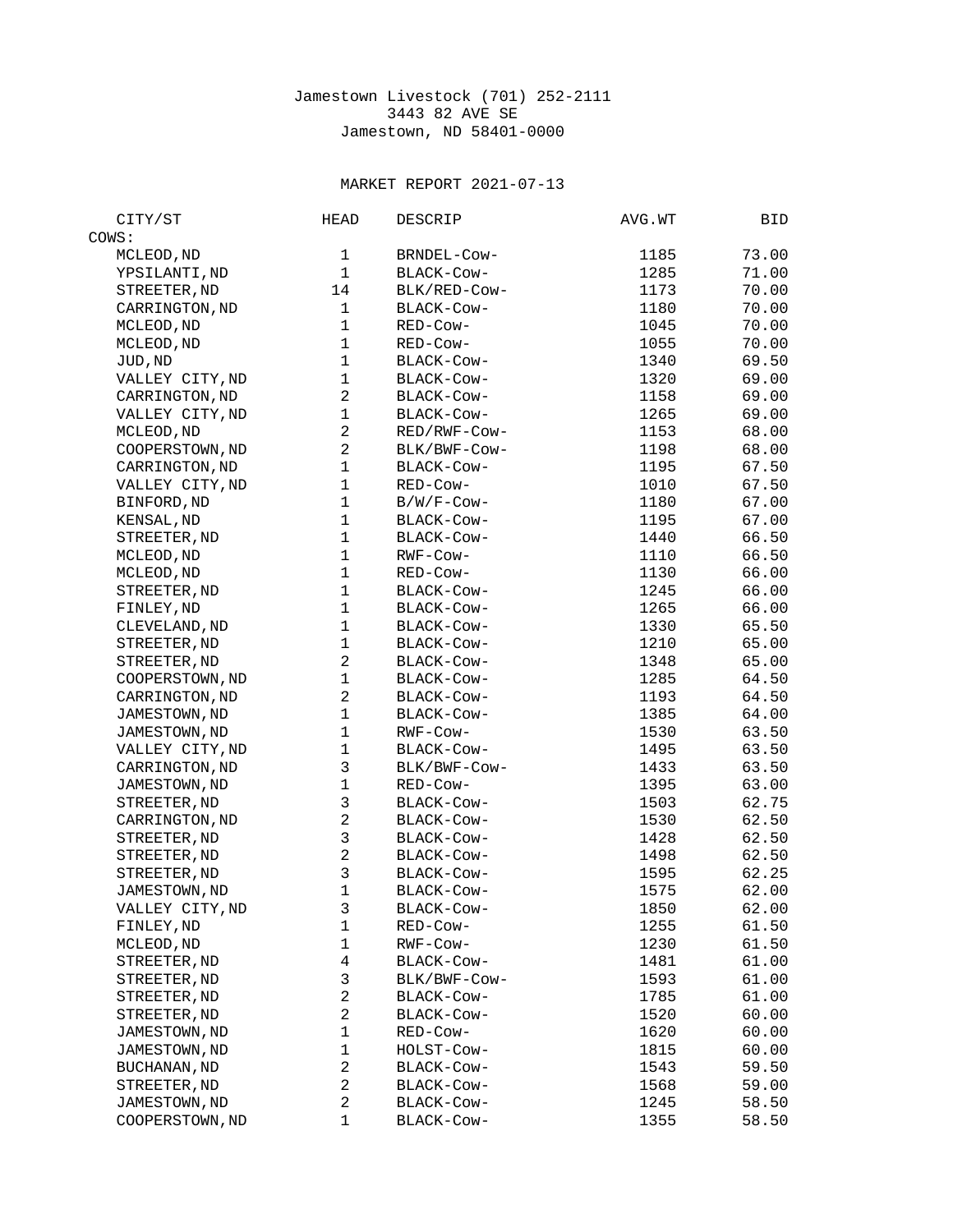## Jamestown Livestock (701) 252-2111 3443 82 AVE SE Jamestown, ND 58401-0000

## MARKET REPORT 2021-07-13

| CITY/ST             | <b>HEAD</b>             | <b>DESCRIP</b> | AVG.WT | BID   |
|---------------------|-------------------------|----------------|--------|-------|
| COWS:               |                         |                |        |       |
| MCLEOD, ND          | 1                       | BRNDEL-Cow-    | 1185   | 73.00 |
| YPSILANTI, ND       | $\mathbf{1}$            | BLACK-Cow-     | 1285   | 71.00 |
| STREETER, ND        | 14                      | BLK/RED-COW-   | 1173   | 70.00 |
| CARRINGTON, ND      | 1                       | BLACK-COW-     | 1180   | 70.00 |
| MCLEOD, ND          | $\mathbf{1}$            | RED-Cow-       | 1045   | 70.00 |
| MCLEOD, ND          | $\mathbf 1$             | RED-Cow-       | 1055   | 70.00 |
| JUD, ND             | $\mathbf{1}$            | BLACK-COW-     | 1340   | 69.50 |
| VALLEY CITY, ND     | $\mathbf 1$             | BLACK-COW-     | 1320   | 69.00 |
| CARRINGTON, ND      | $\overline{2}$          | BLACK-COW-     | 1158   | 69.00 |
| VALLEY CITY, ND     | $\mathbf 1$             | BLACK-COW-     | 1265   | 69.00 |
| MCLEOD, ND          | $\overline{2}$          | RED/RWF-COW-   | 1153   | 68.00 |
| COOPERSTOWN, ND     | $\overline{2}$          | BLK/BWF-COW-   | 1198   | 68.00 |
| CARRINGTON, ND      | $\mathbf{1}$            | BLACK-Cow-     | 1195   | 67.50 |
| VALLEY CITY, ND     | $\mathbf{1}$            | RED-Cow-       | 1010   | 67.50 |
| BINFORD, ND         | $\mathbf 1$             | B/W/F-Cow-     | 1180   | 67.00 |
| KENSAL, ND          | $\mathbf{1}$            | BLACK-COW-     | 1195   | 67.00 |
| STREETER, ND        | $\mathbf 1$             | BLACK-COW-     | 1440   | 66.50 |
| MCLEOD, ND          | $\mathbf{1}$            | RWF-COW-       | 1110   | 66.50 |
| MCLEOD, ND          | 1                       | RED-Cow-       | 1130   | 66.00 |
| STREETER, ND        | $\mathbf{1}$            | BLACK-COW-     | 1245   | 66.00 |
| FINLEY, ND          | $\mathbf{1}$            | BLACK-Cow-     | 1265   | 66.00 |
| CLEVELAND, ND       | $\mathbf{1}$            | BLACK-Cow-     | 1330   | 65.50 |
| STREETER, ND        | $\mathbf{1}$            | BLACK-COW-     | 1210   | 65.00 |
| STREETER, ND        | $\overline{2}$          | BLACK-COW-     | 1348   | 65.00 |
| COOPERSTOWN, ND     | $\mathbf 1$             | BLACK-COW-     | 1285   | 64.50 |
| CARRINGTON, ND      | $\overline{c}$          | BLACK-COW-     | 1193   | 64.50 |
| JAMESTOWN, ND       | $\mathbf{1}$            | BLACK-COW-     | 1385   | 64.00 |
| JAMESTOWN, ND       | 1                       | RWF-Cow-       | 1530   | 63.50 |
| VALLEY CITY, ND     | $\mathbf{1}$            | BLACK-COW-     | 1495   | 63.50 |
| CARRINGTON, ND      | 3                       | BLK/BWF-COW-   | 1433   | 63.50 |
| JAMESTOWN, ND       | $\mathbf{1}$            | RED-Cow-       | 1395   | 63.00 |
| STREETER, ND        | 3                       | BLACK-COW-     | 1503   | 62.75 |
| CARRINGTON, ND      | $\overline{c}$          | BLACK-COW-     | 1530   | 62.50 |
| STREETER, ND        | 3                       | BLACK-COW-     | 1428   | 62.50 |
| STREETER, ND        | $\overline{c}$          | BLACK-COW-     | 1498   | 62.50 |
| STREETER, ND        | 3                       | BLACK-COW-     | 1595   | 62.25 |
| JAMESTOWN, ND       | $\mathbf{1}$            | BLACK-COW-     | 1575   | 62.00 |
| VALLEY CITY, ND     | 3                       | BLACK-COW-     | 1850   | 62.00 |
| FINLEY, ND          | 1                       | RED-Cow-       | 1255   | 61.50 |
| MCLEOD, ND          | $\mathbf{1}$            | RWF-Cow-       | 1230   | 61.50 |
| STREETER, ND        | $\overline{\mathbf{4}}$ | BLACK-COW-     | 1481   | 61.00 |
| STREETER, ND        | 3                       | BLK/BWF-COW-   | 1593   | 61.00 |
| STREETER, ND        | $\overline{c}$          | BLACK-COW-     | 1785   | 61.00 |
| STREETER, ND        | $\overline{c}$          | BLACK-COW-     | 1520   | 60.00 |
| JAMESTOWN, ND       | $\mathbf 1$             | RED-Cow-       | 1620   | 60.00 |
| JAMESTOWN, ND       | 1                       | HOLST-COW-     | 1815   | 60.00 |
| <b>BUCHANAN, ND</b> | $\overline{c}$          | BLACK-COW-     | 1543   | 59.50 |
| STREETER, ND        | $\overline{c}$          | BLACK-Cow-     | 1568   | 59.00 |
| JAMESTOWN, ND       | $\overline{c}$          | BLACK-Cow-     | 1245   | 58.50 |
| COOPERSTOWN, ND     | $\mathbf{1}$            | BLACK-Cow-     | 1355   | 58.50 |